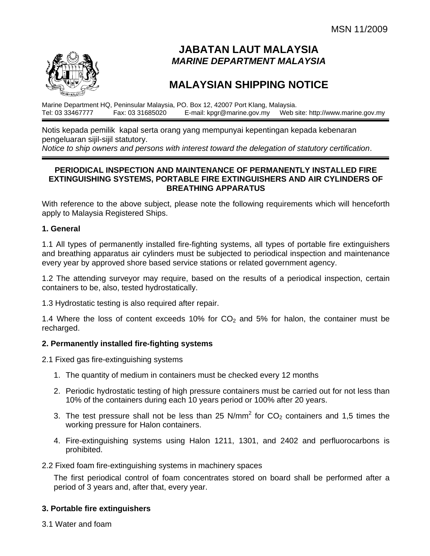

# **JABATAN LAUT MALAYSIA**  *MARINE DEPARTMENT MALAYSIA*

# **MALAYSIAN SHIPPING NOTICE**

Marine Department HQ, Peninsular Malaysia, PO. Box 12, 42007 Port Klang, Malaysia.<br>Tel: 03 33467777 Fax: 03 31685020 F-mail: kpgr@marine.gov.my Web s Web site: http://www.marine.gov.my

Notis kepada pemilik kapal serta orang yang mempunyai kepentingan kepada kebenaran pengeluaran sijil-sijil statutory.

*Notice to ship owners and persons with interest toward the delegation of statutory certification*.

#### **PERIODICAL INSPECTION AND MAINTENANCE OF PERMANENTLY INSTALLED FIRE EXTINGUISHING SYSTEMS, PORTABLE FIRE EXTINGUISHERS AND AIR CYLINDERS OF BREATHING APPARATUS**

With reference to the above subject, please note the following requirements which will henceforth apply to Malaysia Registered Ships.

#### **1. General**

1.1 All types of permanently installed fire-fighting systems, all types of portable fire extinguishers and breathing apparatus air cylinders must be subjected to periodical inspection and maintenance every year by approved shore based service stations or related government agency.

1.2 The attending surveyor may require, based on the results of a periodical inspection, certain containers to be, also, tested hydrostatically.

1.3 Hydrostatic testing is also required after repair.

1.4 Where the loss of content exceeds 10% for  $CO<sub>2</sub>$  and 5% for halon, the container must be recharged.

#### **2. Permanently installed fire-fighting systems**

2.1 Fixed gas fire-extinguishing systems

- 1. The quantity of medium in containers must be checked every 12 months
- 2. Periodic hydrostatic testing of high pressure containers must be carried out for not less than 10% of the containers during each 10 years period or 100% after 20 years.
- 3. The test pressure shall not be less than 25 N/mm<sup>2</sup> for  $CO<sub>2</sub>$  containers and 1,5 times the working pressure for Halon containers.
- 4. Fire-extinguishing systems using Halon 1211, 1301, and 2402 and perfluorocarbons is prohibited.

#### 2.2 Fixed foam fire-extinguishing systems in machinery spaces

The first periodical control of foam concentrates stored on board shall be performed after a period of 3 years and, after that, every year.

#### **3. Portable fire extinguishers**

3.1 Water and foam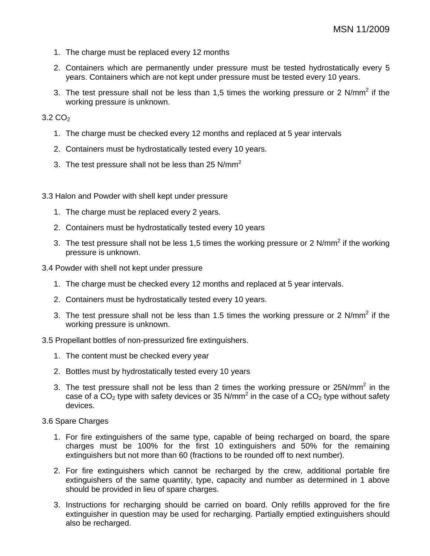- 1. The charge must be replaced every 12 months
- 2. Containers which are permanently under pressure must be tested hydrostatically every 5 years. Containers which are not kept under pressure must be tested every 10 years.
- 3. The test pressure shall not be less than 1,5 times the working pressure or 2 N/mm<sup>2</sup> if the working pressure is unknown.

#### $3.2 \text{ CO}_2$

- 1. The charge must be checked every 12 months and replaced at 5 year intervals
- 2. Containers must be hydrostatically tested every 10 years.
- 3. The test pressure shall not be less than 25 N/mm<sup>2</sup>
- 3.3 Halon and Powder with shell kept under pressure
	- 1. The charge must be replaced every 2 years.
	- 2. Containers must be hydrostatically tested every 10 years
	- 3. The test pressure shall not be less 1,5 times the working pressure or 2 N/mm<sup>2</sup> if the working pressure is unknown.
- 3.4 Powder with shell not kept under pressure
	- 1. The charge must be checked every 12 months and replaced at 5 year intervals.
	- 2. Containers must be hydrostatically tested every 10 years.
	- 3. The test pressure shall not be less than 1.5 times the working pressure or 2 N/mm<sup>2</sup> if the working pressure is unknown.

3.5 Propellant bottles of non-pressurized fire extinguishers.

- 1. The content must be checked every year
- 2. Bottles must by hydrostatically tested every 10 years
- 3. The test pressure shall not be less than 2 times the working pressure or 25N/mm<sup>2</sup> in the case of a CO<sub>2</sub> type with safety devices or 35 N/mm<sup>2</sup> in the case of a CO<sub>2</sub> type without safety devices.

3.6 Spare Charges

- 1. For fire extinguishers of the same type, capable of being recharged on board, the spare charges must be 100% for the first 10 extinguishers and 50% for the remaining extinguishers but not more than 60 (fractions to be rounded off to next number).
- 2. For fire extinguishers which cannot be recharged by the crew, additional portable fire extinguishers of the same quantity, type, capacity and number as determined in 1 above should be provided in lieu of spare charges.
- 3. Instructions for recharging should be carried on board. Only refills approved for the fire extinguisher in question may be used for recharging. Partially emptied extinguishers should also be recharged.